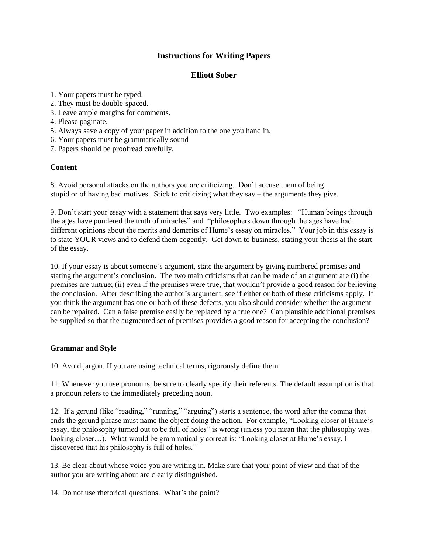# **Instructions for Writing Papers**

### **Elliott Sober**

- 1. Your papers must be typed.
- 2. They must be double-spaced.
- 3. Leave ample margins for comments.
- 4. Please paginate.
- 5. Always save a copy of your paper in addition to the one you hand in.
- 6. Your papers must be grammatically sound
- 7. Papers should be proofread carefully.

# **Content**

8. Avoid personal attacks on the authors you are criticizing. Don't accuse them of being stupid or of having bad motives. Stick to criticizing what they say – the arguments they give.

9. Don't start your essay with a statement that says very little. Two examples: "Human beings through the ages have pondered the truth of miracles" and "philosophers down through the ages have had different opinions about the merits and demerits of Hume's essay on miracles." Your job in this essay is to state YOUR views and to defend them cogently. Get down to business, stating your thesis at the start of the essay.

10. If your essay is about someone's argument, state the argument by giving numbered premises and stating the argument's conclusion. The two main criticisms that can be made of an argument are (i) the premises are untrue; (ii) even if the premises were true, that wouldn't provide a good reason for believing the conclusion. After describing the author's argument, see if either or both of these criticisms apply. If you think the argument has one or both of these defects, you also should consider whether the argument can be repaired. Can a false premise easily be replaced by a true one? Can plausible additional premises be supplied so that the augmented set of premises provides a good reason for accepting the conclusion?

#### **Grammar and Style**

10. Avoid jargon. If you are using technical terms, rigorously define them.

11. Whenever you use pronouns, be sure to clearly specify their referents. The default assumption is that a pronoun refers to the immediately preceding noun.

12. If a gerund (like "reading," "running," "arguing") starts a sentence, the word after the comma that ends the gerund phrase must name the object doing the action. For example, "Looking closer at Hume's essay, the philosophy turned out to be full of holes" is wrong (unless you mean that the philosophy was looking closer…). What would be grammatically correct is: "Looking closer at Hume's essay, I discovered that his philosophy is full of holes."

13. Be clear about whose voice you are writing in. Make sure that your point of view and that of the author you are writing about are clearly distinguished.

14. Do not use rhetorical questions. What's the point?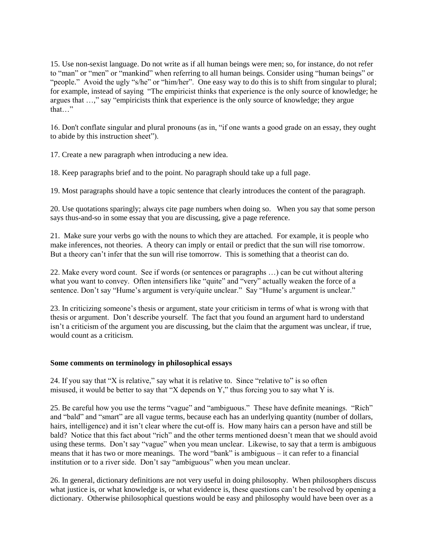15. Use non-sexist language. Do not write as if all human beings were men; so, for instance, do not refer to "man" or "men" or "mankind" when referring to all human beings. Consider using "human beings" or "people." Avoid the ugly "s/he" or "him/her". One easy way to do this is to shift from singular to plural; for example, instead of saying "The empiricist thinks that experience is the only source of knowledge; he argues that …," say "empiricists think that experience is the only source of knowledge; they argue that "

16. Don't conflate singular and plural pronouns (as in, "if one wants a good grade on an essay, they ought to abide by this instruction sheet").

17. Create a new paragraph when introducing a new idea.

18. Keep paragraphs brief and to the point. No paragraph should take up a full page.

19. Most paragraphs should have a topic sentence that clearly introduces the content of the paragraph.

20. Use quotations sparingly; always cite page numbers when doing so. When you say that some person says thus-and-so in some essay that you are discussing, give a page reference.

21. Make sure your verbs go with the nouns to which they are attached. For example, it is people who make inferences, not theories. A theory can imply or entail or predict that the sun will rise tomorrow. But a theory can't infer that the sun will rise tomorrow. This is something that a theorist can do.

22. Make every word count. See if words (or sentences or paragraphs …) can be cut without altering what you want to convey. Often intensifiers like "quite" and "very" actually weaken the force of a sentence. Don't say "Hume's argument is very/quite unclear." Say "Hume's argument is unclear."

23. In criticizing someone's thesis or argument, state your criticism in terms of what is wrong with that thesis or argument. Don't describe yourself. The fact that you found an argument hard to understand isn't a criticism of the argument you are discussing, but the claim that the argument was unclear, if true, would count as a criticism.

#### **Some comments on terminology in philosophical essays**

24. If you say that "X is relative," say what it is relative to. Since "relative to" is so often misused, it would be better to say that "X depends on Y," thus forcing you to say what Y is.

25. Be careful how you use the terms "vague" and "ambiguous." These have definite meanings. "Rich" and "bald" and "smart" are all vague terms, because each has an underlying quantity (number of dollars, hairs, intelligence) and it isn't clear where the cut-off is. How many hairs can a person have and still be bald? Notice that this fact about "rich" and the other terms mentioned doesn't mean that we should avoid using these terms. Don't say "vague" when you mean unclear. Likewise, to say that a term is ambiguous means that it has two or more meanings. The word "bank" is ambiguous – it can refer to a financial institution or to a river side. Don't say "ambiguous" when you mean unclear.

26. In general, dictionary definitions are not very useful in doing philosophy. When philosophers discuss what justice is, or what knowledge is, or what evidence is, these questions can't be resolved by opening a dictionary. Otherwise philosophical questions would be easy and philosophy would have been over as a